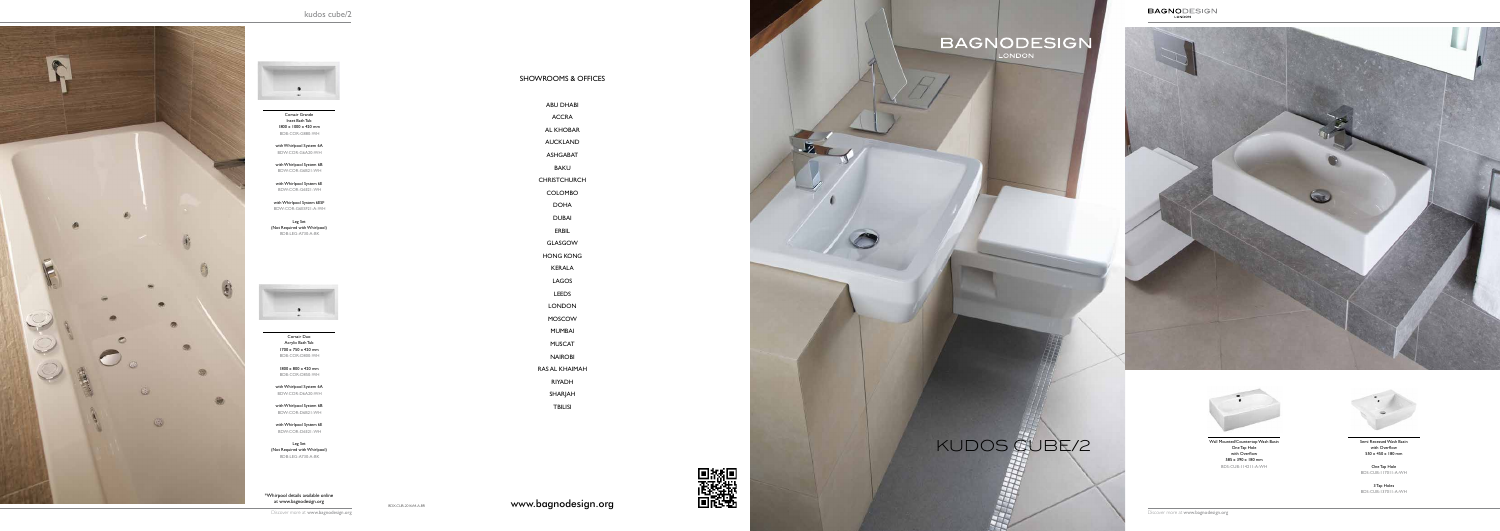\*Whirpool details available online

Corsair Grande Inset Bath Tub 1800 x 1000 x 420 mm BDB-COR-G880-WH

with Whirlpool System 6A BDW-COR-G6A20-WH

with Whirlpool System 6B BDW-COR-G6B21-WH

with Whirlpool System 6E BDW-COR-G6E21-WH

with Whirlpool System 6ESF BDW-COR-G6ESF21-A-WH

Leg Set (Not Required with Whirlpool) BDB-LEG-A730-A-BK



Corsair Duo Acrylic Bath Tub 1700 x 750 x 420 mm BDB-COR-D800-WH

1800 x 800 x 420 mm BDB-COR-D850-WH

with Whirlpool System 6A BDW-COR-D6A20-WH CHRISTCH

with Whirlpool System 6B BDW-COR-D6B21-WH

with Whirlpool System 6E BDW-COR-D6E21-WH

Leg Set (Not Required with Whirlpool) BDB-LEG-A730-A-BK

with Overflow 550 x 450 x 180 mm

One Tap Hole BDS-CUB-117011-A-WH

3 Tap Holes BDS-CUB-137011-A-WH

Wall Mounted/Countertop Wash Basin One Tap Hole with Overflow 585 x 390 x 180 mm BDS-CUB-114211-A-WH





## kudos cube/ 2



SHOWROOMS & OFFICES

**HONG KC** 

LONDON

MOSCOW

MUMBAI

MUSCAT

NAIROBI

RAS AL KHAIMAH

RIYADH

SHARJAH

TBILISI

| <b>ABU DHABI</b> |  |
|------------------|--|
| <b>ACCRA</b>     |  |
| <b>AL KHOBAR</b> |  |
| <b>AUCKLAND</b>  |  |
| <b>ASHGABAT</b>  |  |
| BAKU             |  |
| :HRISTCHURCH     |  |
| <b>COLOMBO</b>   |  |
| <b>DOHA</b>      |  |
| <b>DUBAI</b>     |  |
| ERBIL            |  |
| <b>GLASGOW</b>   |  |
| HONG KONG        |  |
| <b>KERALA</b>    |  |
| LAGOS            |  |
| LEEDS            |  |
|                  |  |



 $\mathcal{L}_{\mathscr{D}}$ 

# **BAGNODESIGN**

## Wall Mounted/Countertop Wash Basin<br>
One Tap Hole<br>
With Overflow<br>
Semi Recessed Wash Basin<br>
Semi Recessed Wash Basin<br>
Semi Recessed Wash Basin<br>
Semi Recessed Wash Basin<br>
Semi Recessed Wash Basin<br>
Semi Recessed Wash Basin<br>
S